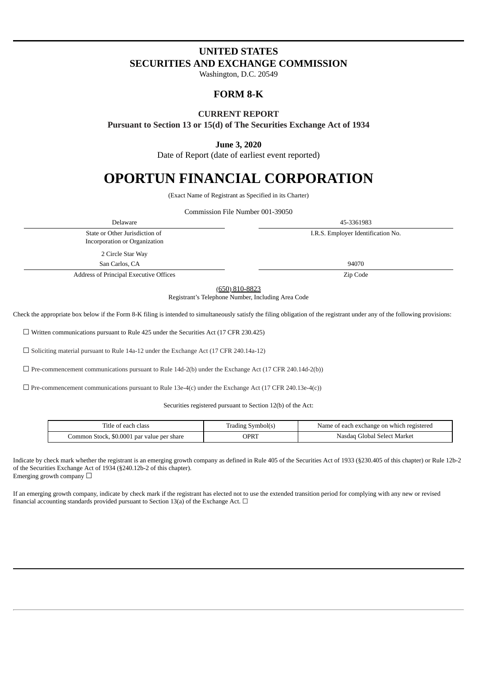# **UNITED STATES SECURITIES AND EXCHANGE COMMISSION**

Washington, D.C. 20549

# **FORM 8-K**

## **CURRENT REPORT**

**Pursuant to Section 13 or 15(d) of The Securities Exchange Act of 1934**

## **June 3, 2020**

Date of Report (date of earliest event reported)

# **OPORTUN FINANCIAL CORPORATION**

(Exact Name of Registrant as Specified in its Charter)

Commission File Number 001-39050

Delaware 45-3361983 State or Other Jurisdiction of Incorporation or Organization I.R.S. Employer Identification No. 2 Circle Star Way San Carlos, CA 94070 Address of Principal Executive Offices **Zip Code Zip Code** 

(650) 810-8823

Registrant's Telephone Number, Including Area Code

Check the appropriate box below if the Form 8-K filing is intended to simultaneously satisfy the filing obligation of the registrant under any of the following provisions:

☐ Written communications pursuant to Rule 425 under the Securities Act (17 CFR 230.425)

☐ Soliciting material pursuant to Rule 14a-12 under the Exchange Act (17 CFR 240.14a-12)

 $\Box$  Pre-commencement communications pursuant to Rule 14d-2(b) under the Exchange Act (17 CFR 240.14d-2(b))

 $\Box$  Pre-commencement communications pursuant to Rule 13e-4(c) under the Exchange Act (17 CFR 240.13e-4(c))

Securities registered pursuant to Section 12(b) of the Act:

| Title of each class                        | Trading Symbol(s) | Name of each exchange on which registered |
|--------------------------------------------|-------------------|-------------------------------------------|
| Common Stock, \$0.0001 par value per share | OPRT              | Nasdaq Global Select Market               |

Indicate by check mark whether the registrant is an emerging growth company as defined in Rule 405 of the Securities Act of 1933 (§230.405 of this chapter) or Rule 12b-2 of the Securities Exchange Act of 1934 (§240.12b-2 of this chapter). Emerging growth company  $\Box$ 

If an emerging growth company, indicate by check mark if the registrant has elected not to use the extended transition period for complying with any new or revised financial accounting standards provided pursuant to Section 13(a) of the Exchange Act.  $\Box$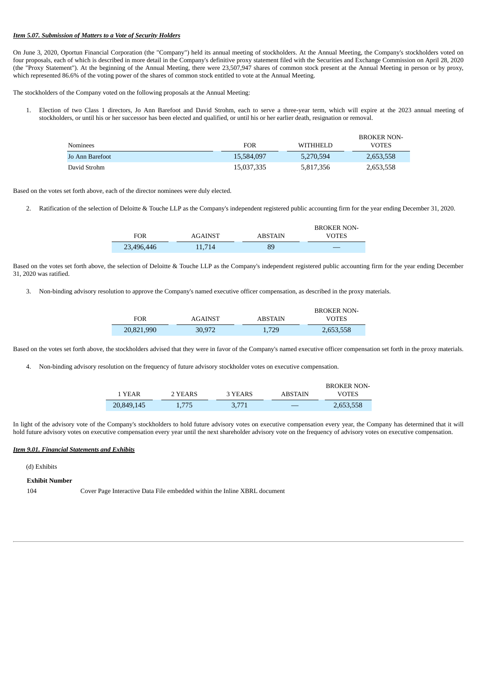### *Item 5.07. Submission of Matters to a Vote of Security Holders*

On June 3, 2020, Oportun Financial Corporation (the "Company") held its annual meeting of stockholders. At the Annual Meeting, the Company's stockholders voted on four proposals, each of which is described in more detail in the Company's definitive proxy statement filed with the Securities and Exchange Commission on April 28, 2020 (the "Proxy Statement"). At the beginning of the Annual Meeting, there were 23,507,947 shares of common stock present at the Annual Meeting in person or by proxy, which represented 86.6% of the voting power of the shares of common stock entitled to vote at the Annual Meeting.

The stockholders of the Company voted on the following proposals at the Annual Meeting:

1. Election of two Class 1 directors, Jo Ann Barefoot and David Strohm, each to serve a three-year term, which will expire at the 2023 annual meeting of stockholders, or until his or her successor has been elected and qualified, or until his or her earlier death, resignation or removal.

| Nominees        | <b>FOR</b> | <b>WITHHELD</b> | BROKER NON-<br><b>VOTES</b> |
|-----------------|------------|-----------------|-----------------------------|
| Jo Ann Barefoot | 15,584,097 | 5,270,594       | 2,653,558                   |
| David Strohm    | 15,037,335 | 5,817,356       | 2,653,558                   |

Based on the votes set forth above, each of the director nominees were duly elected.

2. Ratification of the selection of Deloitte & Touche LLP as the Company's independent registered public accounting firm for the year ending December 31, 2020.

|            |         |                | <b>BROKER NON-</b> |
|------------|---------|----------------|--------------------|
| FOR        | AGAINST | <b>ABSTAIN</b> | VOTES              |
| 23,496,446 | 1.714   | 89             | _                  |

Based on the votes set forth above, the selection of Deloitte & Touche LLP as the Company's independent registered public accounting firm for the year ending December 31, 2020 was ratified.

3. Non-binding advisory resolution to approve the Company's named executive officer compensation, as described in the proxy materials.

|            |         |         | <b>BROKER NON-</b> |
|------------|---------|---------|--------------------|
| FOR        | AGAINST | ABSTAIN | VOTES              |
| 20,821,990 | 30,972  | 1.729   | 2,653,558          |

Based on the votes set forth above, the stockholders advised that they were in favor of the Company's named executive officer compensation set forth in the proxy materials.

4. Non-binding advisory resolution on the frequency of future advisory stockholder votes on executive compensation.

|            |         |         |         | <b>BROKER NON-</b> |
|------------|---------|---------|---------|--------------------|
| 1 YEAR     | 2 YEARS | 3 YEARS | ABSTAIN | VOTES.             |
| 20,849,145 | 1.775   | 3.771   |         | 2,653,558          |

In light of the advisory vote of the Company's stockholders to hold future advisory votes on executive compensation every year, the Company has determined that it will hold future advisory votes on executive compensation every year until the next shareholder advisory vote on the frequency of advisory votes on executive compensation.

### *Item 9.01. Financial Statements and Exhibits*

### (d) Exhibits

**Exhibit Number**

104 Cover Page Interactive Data File embedded within the Inline XBRL document